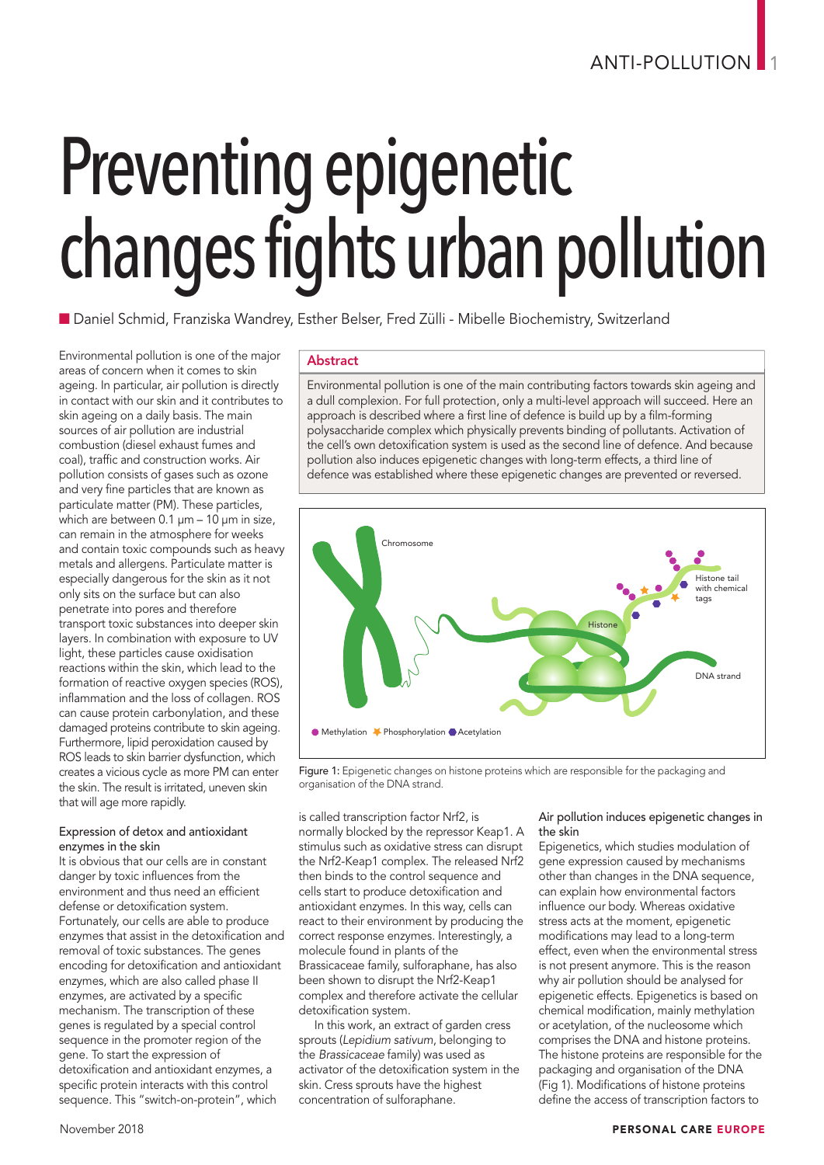# Preventing epigenetic changes fights urban pollution

n Daniel Schmid, Franziska Wandrey, Esther Belser, Fred Zülli - Mibelle Biochemistry, Switzerland

Environmental pollution is one of the major areas of concern when it comes to skin ageing. In particular, air pollution is directly in contact with our skin and it contributes to skin ageing on a daily basis. The main sources of air pollution are industrial combustion (diesel exhaust fumes and coal), traffic and construction works. Air pollution consists of gases such as ozone and very fine particles that are known as particulate matter (PM). These particles, which are between 0.1 μm - 10 μm in size, can remain in the atmosphere for weeks and contain toxic compounds such as heavy metals and allergens. Particulate matter is especially dangerous for the skin as it not only sits on the surface but can also penetrate into pores and therefore transport toxic substances into deeper skin layers. In combination with exposure to UV light, these particles cause oxidisation reactions within the skin, which lead to the formation of reactive oxygen species (ROS), inflammation and the loss of collagen. ROS can cause protein carbonylation, and these damaged proteins contribute to skin ageing. Furthermore, lipid peroxidation caused by ROS leads to skin barrier dysfunction, which creates a vicious cycle as more PM can enter the skin. The result is irritated, uneven skin that will age more rapidly.

#### Expression of detox and antioxidant enzymes in the skin

It is obvious that our cells are in constant danger by toxic influences from the environment and thus need an efficient defense or detoxification system. Fortunately, our cells are able to produce enzymes that assist in the detoxification and removal of toxic substances. The genes encoding for detoxification and antioxidant enzymes, which are also called phase II enzymes, are activated by a specific mechanism. The transcription of these genes is regulated by a special control sequence in the promoter region of the gene. To start the expression of detoxification and antioxidant enzymes, a specific protein interacts with this control sequence. This "switch-on-protein", which

# Abstract

Environmental pollution is one of the main contributing factors towards skin ageing and <sup>a</sup> dull complexion. For full protection, only <sup>a</sup> multi-level approach will succeed. Here an approach is described where <sup>a</sup> first line of defence is build up by <sup>a</sup> film-forming polysaccharide complex which physically prevents binding of pollutants. Activation of the cell's own detoxification system is used as the second line of defence. And because pollution also induces epigenetic changes with long-term effects, <sup>a</sup> third line of defence was established where these epigenetic changes are prevented or reversed.



Figure 1: Epigenetic changes on histone proteins which are responsible for the packaging and organisation of the DNA strand.

is called transcription factor Nrf2, is normally blocked by the repressor Keap1. A stimulus such as oxidative stress can disrupt the Nrf2-Keap1 complex. The released Nrf2 then binds to the control sequence and cells start to produce detoxification and antioxidant enzymes. In this way, cells can react to their environment by producing the correct response enzymes. Interestingly, a molecule found in plants of the Brassicaceae family, sulforaphane, has also been shown to disrupt the Nrf2-Keap1 complex and therefore activate the cellular detoxification system.

In this work, an extract of garden cress sprouts (*Lepidium sativum*, belonging to the *Brassicaceae* family) was used as activator of the detoxification system in the skin. Cress sprouts have the highest concentration of sulforaphane.

# Air pollution induces epigenetic changes in the skin

Epigenetics, which studies modulation of gene expression caused by mechanisms other than changes in the DNA sequence, can explain how environmental factors influence our body. Whereas oxidative stress acts at the moment, epigenetic modifications may lead to a long-term effect, even when the environmental stress is not present anymore. This is the reason why air pollution should be analysed for epigenetic effects. Epigenetics is based on chemical modification, mainly methylation or acetylation, of the nucleosome which comprises the DNA and histone proteins. The histone proteins are responsible for the packaging and organisation of the DNA (Fig 1). Modifications of histone proteins define the access of transcription factors to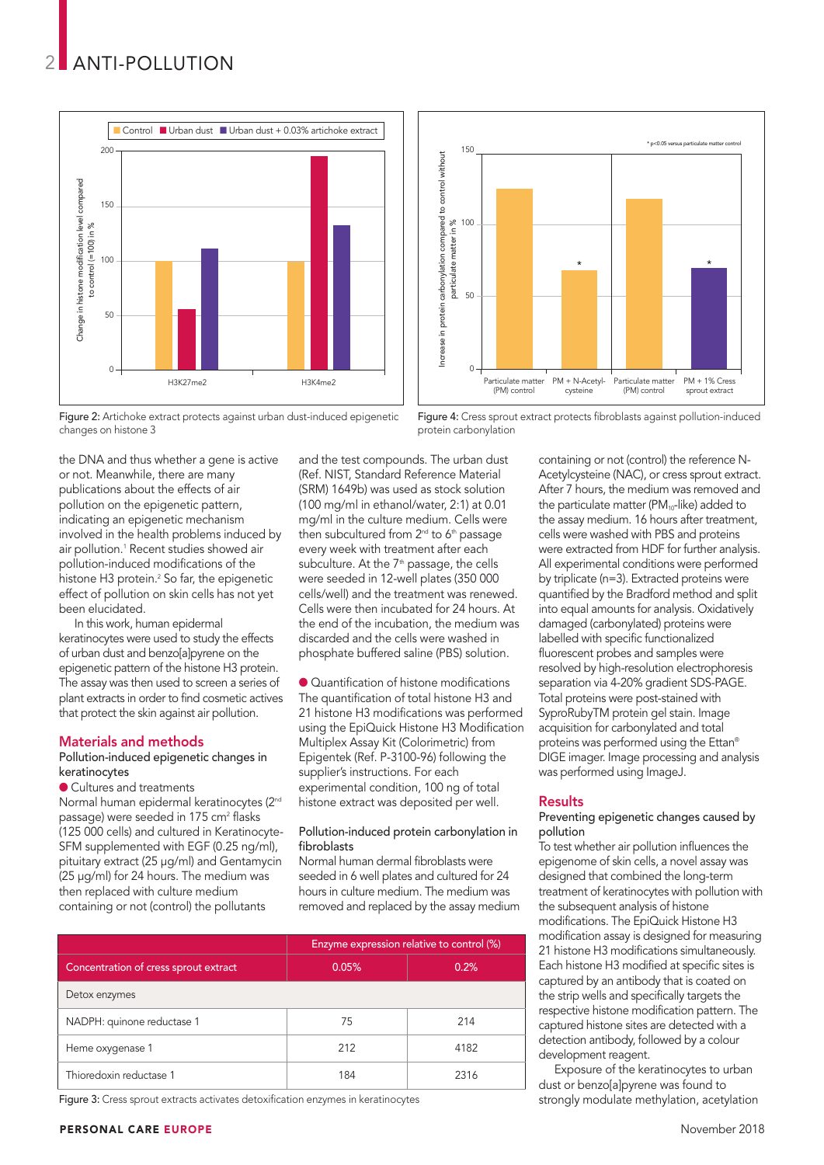

Figure 2: Artichoke extract protects against urban dust-induced epigenetic changes on histone 3

the DNA and thus whether a gene is active or not. Meanwhile, there are many publications about the effects of air pollution on the epigenetic pattern, indicating an epigenetic mechanism involved in the health problems induced by air pollution. <sup>1</sup> Recent studies showed air pollution-induced modifications of the histone H3 protein. <sup>2</sup> So far, the epigenetic effect of pollution on skin cells has not yet been elucidated.

In this work, human epidermal keratinocytes were used to study the effects of urban dust and benzo[a]pyrene on the epigenetic pattern of the histone H3 protein. The assay was then used to screen a series of plant extracts in order to find cosmetic actives that protect the skin against air pollution.

### Materials and methods

#### Pollution-induced epigenetic changes in keratinocytes

● Cultures and treatments Normal human epidermal keratinocytes (2<sup>nd</sup> passage) were seeded in 175 cm<sup>2</sup> flasks (125 000 cells) and cultured in Keratinocyte-SFM supplemented with EGF (0.25 ng/ml), pituitary extract (25 µg/ml) and Gentamycin (25 µg/ml) for 24 hours. The medium was then replaced with culture medium containing or not (control) the pollutants

and the test compounds. The urban dust (Ref. NIST, Standard Reference Material (SRM) 1649b) was used as stock solution (100 mg/ml in ethanol/water, 2:1) at 0.01 mg/ml in the culture medium. Cells were then subcultured from 2<sup>nd</sup> to 6<sup>th</sup> passage every week with treatment after each subculture. At the 7<sup>th</sup> passage, the cells were seeded in 12-well plates (350 000 cells/well) and the treatment was renewed. Cells were then incubated for 24 hours. At the end of the incubation, the medium was discarded and the cells were washed in phosphate buffered saline (PBS) solution.

l Quantification of histone modifications The quantification of total histone H3 and 21 histone H3 modifications was performed using the EpiQuick Histone H3 Modification Multiplex Assay Kit (Colorimetric) from Epigentek (Ref. P-3100-96) following the supplier's instructions. For each experimental condition, 100 ng of total histone extract was deposited per well.

#### Pollution-induced protein carbonylation in fibroblasts

Normal human dermal fibroblasts were seeded in 6 well plates and cultured for 24 hours in culture medium. The medium was removed and replaced by the assay medium

|                                       | Enzyme expression relative to control (%) |      |
|---------------------------------------|-------------------------------------------|------|
| Concentration of cress sprout extract | 0.05%                                     | 0.2% |
| Detox enzymes                         |                                           |      |
| NADPH: quinone reductase 1            | 75                                        | 214  |
| Heme oxygenase 1                      | 212                                       | 4182 |
| Thioredoxin reductase 1               | 184                                       | 2316 |

Figure 3: Cress sprout extracts activates detoxification enzymes in keratinocytes



Figure 4: Cress sprout extract protects fibroblasts against pollution-induced protein carbonylation

containing or not (control) the reference N-Acetylcysteine (NAC), or cress sprout extract. After 7 hours, the medium was removed and the particulate matter ( $PM_{10}$ -like) added to the assay medium. 16 hours after treatment, cells were washed with PBS and proteins were extracted from HDF for further analysis. All experimental conditions were performed by triplicate (n=3). Extracted proteins were quantified by the Bradford method and split into equal amounts for analysis. Oxidatively damaged (carbonylated) proteins were labelled with specific functionalized fluorescent probes and samples were resolved by high-resolution electrophoresis separation via 4-20% gradient SDS-PAGE. Total proteins were post-stained with SyproRubyTM protein gel stain. Image acquisition for carbonylated and total proteins was performed using the Ettan® DIGE imager. Image processing and analysis was performed using ImageJ.

#### **Results**

#### Preventing epigenetic changes caused by pollution

To test whether air pollution influences the epigenome of skin cells, a novel assay was designed that combined the long-term treatment of keratinocytes with pollution with the subsequent analysis of histone modifications. The EpiQuick Histone H3 modification assay is designed for measuring 21 histone H3 modifications simultaneously. Each histone H3 modified at specific sites is captured by an antibody that is coated on the strip wells and specifically targets the respective histone modification pattern. The captured histone sites are detected with a detection antibody, followed by a colour development reagent.

Exposure of the keratinocytes to urban dust or benzo[a]pyrene was found to strongly modulate methylation, acetylation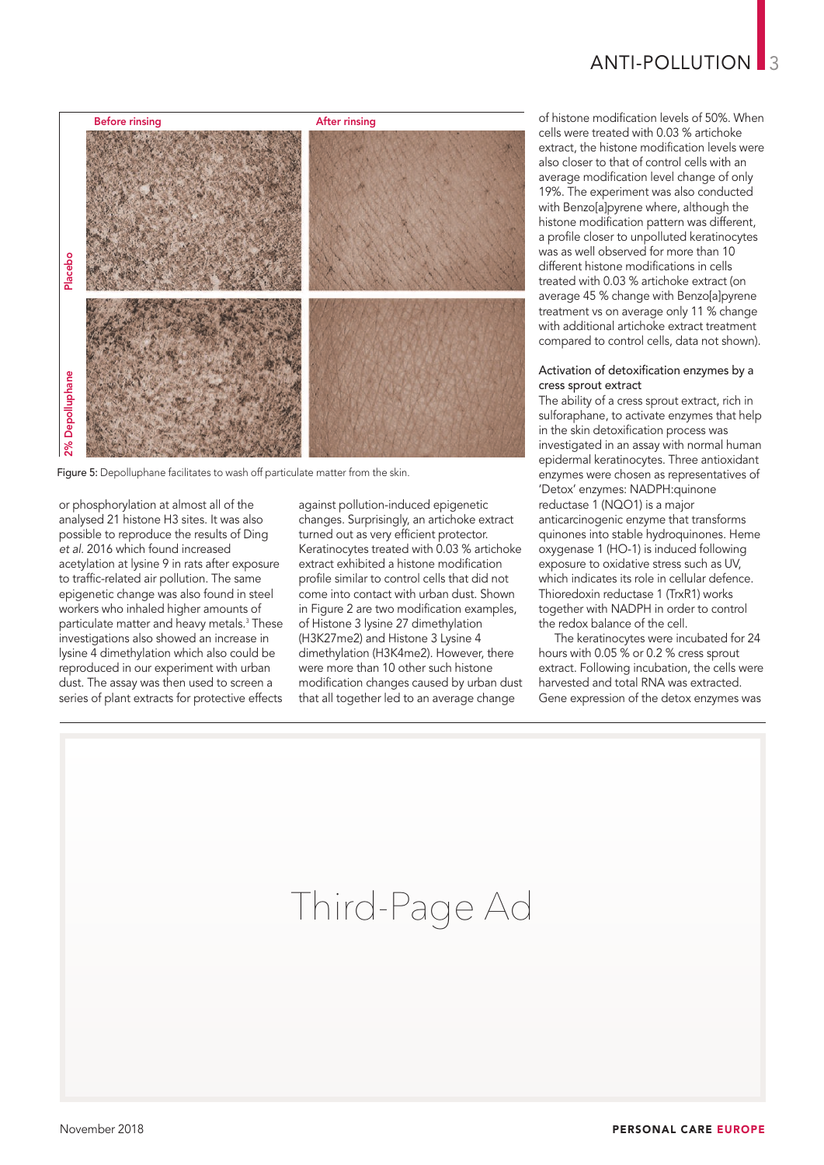

Figure 5: Depolluphane facilitates to wash off particulate matter from the skin.

or phosphorylation at almost all of the analysed 21 histone H3 sites. It was also possible to reproduce the results of Ding *et al*. 2016 which found increased acetylation at lysine 9 in rats after exposure to traffic-related air pollution. The same epigenetic change was also found in steel workers who inhaled higher amounts of particulate matter and heavy metals. <sup>3</sup> These investigations also showed an increase in lysine 4 dimethylation which also could be reproduced in our experiment with urban dust. The assay was then used to screen a series of plant extracts for protective effects

against pollution-induced epigenetic changes. Surprisingly, an artichoke extract turned out as very efficient protector. Keratinocytes treated with 0.03 % artichoke extract exhibited a histone modification profile similar to control cells that did not come into contact with urban dust. Shown in Figure 2 are two modification examples, of Histone 3 lysine 27 dimethylation (H3K27me2) and Histone 3 Lysine 4 dimethylation (H3K4me2). However, there were more than 10 other such histone modification changes caused by urban dust that all together led to an average change

of histone modification levels of 50%. When cells were treated with 0.03 % artichoke extract, the histone modification levels were also closer to that of control cells with an average modification level change of only 19%. The experiment was also conducted with Benzo[a]pyrene where, although the histone modification pattern was different, a profile closer to unpolluted keratinocytes was as well observed for more than 10 different histone modifications in cells treated with 0.03 % artichoke extract (on average 45 % change with Benzo[a]pyrene treatment vs on average only 11 % change with additional artichoke extract treatment compared to control cells, data not shown).

## Activation of detoxification enzymes by a cress sprout extract

The ability of a cress sprout extract, rich in sulforaphane, to activate enzymes that help in the skin detoxification process was investigated in an assay with normal human epidermal keratinocytes. Three antioxidant enzymes were chosen as representatives of 'Detox' enzymes: NADPH:quinone reductase 1 (NQO1) is a major anticarcinogenic enzyme that transforms quinones into stable hydroquinones. Heme oxygenase 1 (HO-1) is induced following exposure to oxidative stress such as UV, which indicates its role in cellular defence. Thioredoxin reductase 1 (TrxR1) works together with NADPH in order to control the redox balance of the cell.

The keratinocytes were incubated for 24 hours with 0.05 % or 0.2 % cress sprout extract. Following incubation, the cells were harvested and total RNA was extracted. Gene expression of the detox enzymes was

# Third-Page Ad